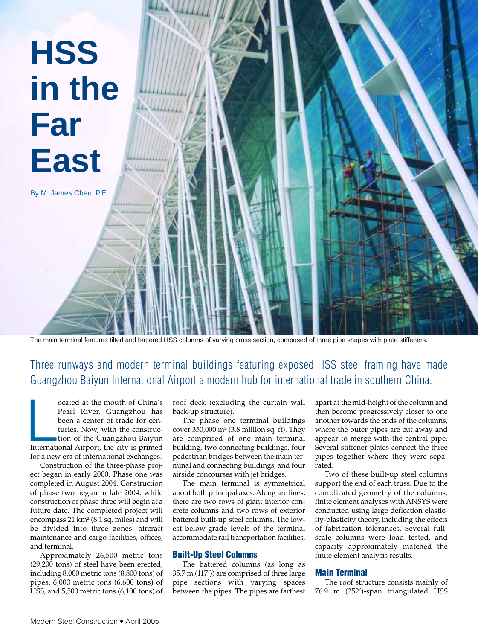

The main terminal features tilted and battered HSS columns of varying cross section, composed of three pipe shapes with plate stiffeners.

# Three runways and modern terminal buildings featuring exposed HSS steel framing have made Guangzhou Baiyun International Airport a modern hub for international trade in southern China.

ocated at the mouth of China's<br>Pearl River, Guangzhou has<br>been a center of trade for cen-<br>turies. Now, with the construc-<br>tion of the Guangzhou Baiyun<br>International Airport, the city is primed ocated at the mouth of China's Pearl River, Guangzhou has been a center of trade for centuries. Now, with the construction of the Guangzhou Baiyun for a new era of international exchanges.

Construction of the three-phase project began in early 2000. Phase one was completed in August 2004. Construction of phase two began in late 2004, while construction of phase three will begin at a future date. The completed project will encompass 21 km² (8.1 sq. miles) and will be divided into three zones: aircraft maintenance and cargo facilities, offices, and terminal.

Approximately 26,500 metric tons (29,200 tons) of steel have been erected, including 8,000 metric tons (8,800 tons) of pipes, 6,000 metric tons (6,600 tons) of HSS, and 5,500 metric tons (6,100 tons) of roof deck (excluding the curtain wall back-up structure).

The phase one terminal buildings cover 350,000 m² (3.8 million sq. ft). They are comprised of one main terminal building, two connecting buildings, four pedestrian bridges between the main terminal and connecting buildings, and four airside concourses with jet bridges.

The main terminal is symmetrical about both principal axes. Along arc lines, there are two rows of giant interior concrete columns and two rows of exterior battered built-up steel columns. The lowest below-grade levels of the terminal accommodate rail transportation facilities.

## **Built-Up Steel Columns**

The battered columns (as long as 35.7 m (117')) are comprised of three large pipe sections with varying spaces between the pipes. The pipes are farthest apart at the mid-height of the column and then become progressively closer to one another towards the ends of the columns, where the outer pipes are cut away and appear to merge with the central pipe. Several stiffener plates connect the three pipes together where they were separated.

Two of these built-up steel columns support the end of each truss. Due to the complicated geometry of the columns, finite element analyses with ANSYS were conducted using large deflection elasticity-plasticity theory, including the effects of fabrication tolerances. Several fullscale columns were load tested, and capacity approximately matched the finite element analysis results.

# **Main Terminal**

The roof structure consists mainly of 76.9 m (252')-span triangulated HSS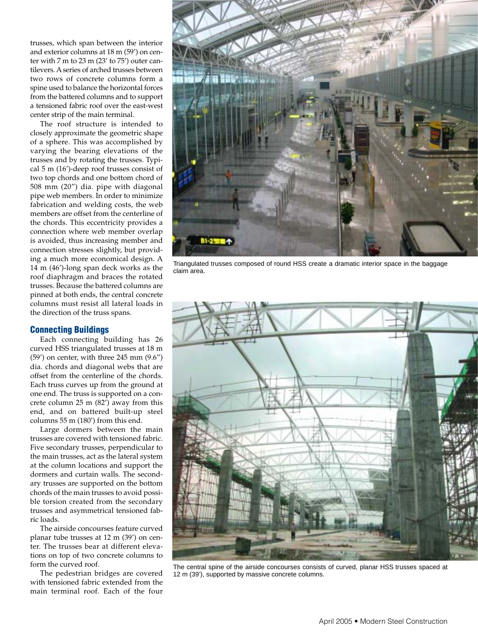trusses, which span between the interior and exterior columns at 18 m (59') on center with 7 m to 23 m (23' to 75') outer cantilevers. A series of arched trusses between two rows of concrete columns form a spine used to balance the horizontal forces from the battered columns and to support a tensioned fabric roof over the east-west center strip of the main terminal.

The roof structure is intended to closely approximate the geometric shape of a sphere. This was accomplished by varying the bearing elevations of the trusses and by rotating the trusses. Typical 5 m (16')-deep roof trusses consist of two top chords and one bottom chord of 508 mm (20") dia. pipe with diagonal pipe web members. In order to minimize fabrication and welding costs, the web members are offset from the centerline of the chords. This eccentricity provides a connection where web member overlap is avoided, thus increasing member and connection stresses slightly, but providing a much more economical design. A 14 m (46')-long span deck works as the roof diaphragm and braces the rotated trusses. Because the battered columns are pinned at both ends, the central concrete columns must resist all lateral loads in the direction of the truss spans.

#### **Connecting Buildings**

Each connecting building has 26 curved HSS triangulated trusses at 18 m (59') on center, with three 245 mm (9.6") dia. chords and diagonal webs that are offset from the centerline of the chords. Each truss curves up from the ground at one end. The truss is supported on a concrete column 25 m (82') away from this end, and on battered built-up steel columns 55 m (180') from this end.

Large dormers between the main trusses are covered with tensioned fabric. Five secondary trusses, perpendicular to the main trusses, act as the lateral system at the column locations and support the dormers and curtain walls. The secondary trusses are supported on the bottom chords of the main trusses to avoid possible torsion created from the secondary trusses and asymmetrical tensioned fabric loads.

The airside concourses feature curved planar tube trusses at 12 m (39') on center. The trusses bear at different elevations on top of two concrete columns to form the curved roof.

The pedestrian bridges are covered with tensioned fabric extended from the main terminal roof. Each of the four



Triangulated trusses composed of round HSS create a dramatic interior space in the baggage claim area.



The central spine of the airside concourses consists of curved, planar HSS trusses spaced at 12 m (39'), supported by massive concrete columns.